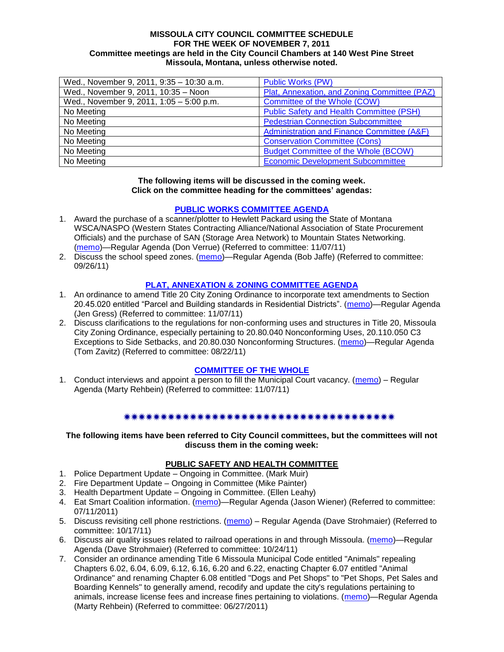### **MISSOULA CITY COUNCIL COMMITTEE SCHEDULE FOR THE WEEK OF NOVEMBER 7, 2011 Committee meetings are held in the City Council Chambers at 140 West Pine Street Missoula, Montana, unless otherwise noted.**

| Wed., November 9, 2011, 9:35 - 10:30 a.m. | <b>Public Works (PW)</b>                     |
|-------------------------------------------|----------------------------------------------|
| Wed., November 9, 2011, 10:35 - Noon      | Plat, Annexation, and Zoning Committee (PAZ) |
| Wed., November 9, 2011, 1:05 - 5:00 p.m.  | Committee of the Whole (COW)                 |
| No Meeting                                | Public Safety and Health Committee (PSH)     |
| No Meeting                                | <b>Pedestrian Connection Subcommittee</b>    |
| No Meeting                                | Administration and Finance Committee (A&F)   |
| No Meeting                                | <b>Conservation Committee (Cons)</b>         |
| No Meeting                                | <b>Budget Committee of the Whole (BCOW)</b>  |
| No Meeting                                | <b>Economic Development Subcommittee</b>     |

### **The following items will be discussed in the coming week. Click on the committee heading for the committees' agendas:**

### **[PUBLIC WORKS COMMITTEE AGENDA](http://www.ci.missoula.mt.us/DocumentCenterii.aspx?FID=833)**

- 1. Award the purchase of a scanner/plotter to Hewlett Packard using the State of Montana WSCA/NASPO (Western States Contracting Alliance/National Association of State Procurement Officials) and the purchase of SAN (Storage Area Network) to Mountain States Networking. [\(memo\)](http://www.ci.missoula.mt.us/DocumentView.aspx?DID=7569)—Regular Agenda (Don Verrue) (Referred to committee: 11/07/11)
- 2. Discuss the school speed zones. [\(memo\)](http://www.ci.missoula.mt.us/DocumentView.aspx?DID=7321)—Regular Agenda (Bob Jaffe) (Referred to committee: 09/26/11)

## **[PLAT, ANNEXATION & ZONING COMMITTEE AGENDA](http://www.ci.missoula.mt.us/DocumentCenterii.aspx?FID=831)**

- 1. An ordinance to amend Title 20 City Zoning Ordinance to incorporate text amendments to Section 20.45.020 entitled "Parcel and Building standards in Residential Districts". [\(memo\)](http://www.ci.missoula.mt.us/DocumentView.aspx?DID=7573)—Regular Agenda (Jen Gress) (Referred to committee: 11/07/11)
- 2. Discuss clarifications to the regulations for non-conforming uses and structures in Title 20, Missoula City Zoning Ordinance, especially pertaining to 20.80.040 Nonconforming Uses, 20.110.050 C3 Exceptions to Side Setbacks, and 20.80.030 Nonconforming Structures. [\(memo\)](http://www.ci.missoula.mt.us/DocumentView.aspx?DID=7140)—Regular Agenda (Tom Zavitz) (Referred to committee: 08/22/11)

## **[COMMITTEE OF THE WHOLE](http://www.ci.missoula.mt.us/DocumentCenterii.aspx?FID=834)**

1. Conduct interviews and appoint a person to fill the Municipal Court vacancy. [\(memo\)](http://www.ci.missoula.mt.us/DocumentView.aspx?DID=7571) – Regular Agenda (Marty Rehbein) (Referred to committee: 11/07/11)

### \*\*\*\*\*\*\*\*\*\*\*\*\*\*\*\*\*\*\*\*\*\*\*\*\*\*\*\*\*\*\*\*\*\*\*\*\*\*

**The following items have been referred to City Council committees, but the committees will not discuss them in the coming week:**

## **PUBLIC SAFETY AND HEALTH COMMITTEE**

- 1. Police Department Update Ongoing in Committee. (Mark Muir)
- 2. Fire Department Update Ongoing in Committee (Mike Painter)
- 3. Health Department Update Ongoing in Committee. (Ellen Leahy)
- 4. Eat Smart Coalition information. [\(memo\)](http://www.ci.missoula.mt.us/DocumentView.aspx?DID=6776)—Regular Agenda (Jason Wiener) (Referred to committee: 07/11/2011)
- 5. Discuss revisiting cell phone restrictions. [\(memo\)](http://www.ci.missoula.mt.us/DocumentView.aspx?DID=7420) Regular Agenda (Dave Strohmaier) (Referred to committee: 10/17/11)
- 6. Discuss air quality issues related to railroad operations in and through Missoula. [\(memo\)](http://www.ci.missoula.mt.us/DocumentView.aspx?DID=7495)—Regular Agenda (Dave Strohmaier) (Referred to committee: 10/24/11)
- 7. Consider an ordinance amending Title 6 Missoula Municipal Code entitled "Animals" repealing Chapters 6.02, 6.04, 6.09, 6.12, 6.16, 6.20 and 6.22, enacting Chapter 6.07 entitled "Animal Ordinance" and renaming Chapter 6.08 entitled "Dogs and Pet Shops" to "Pet Shops, Pet Sales and Boarding Kennels" to generally amend, recodify and update the city's regulations pertaining to animals, increase license fees and increase fines pertaining to violations. [\(memo\)](http://www.ci.missoula.mt.us/DocumentView.aspx?DID=6698)—Regular Agenda (Marty Rehbein) (Referred to committee: 06/27/2011)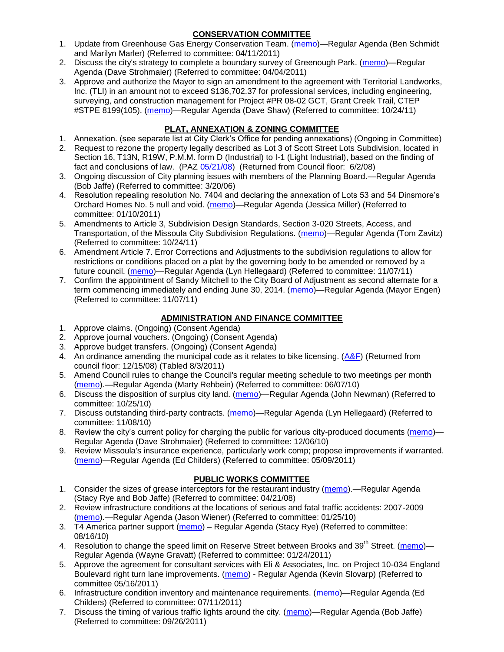# **CONSERVATION COMMITTEE**

- 1. Update from Greenhouse Gas Energy Conservation Team. [\(memo\)](http://www.ci.missoula.mt.us/DocumentView.aspx?DID=5945)—Regular Agenda (Ben Schmidt and Marilyn Marler) (Referred to committee: 04/11/2011)
- 2. Discuss the city's strategy to complete a boundary survey of Greenough Park. [\(memo\)](http://www.ci.missoula.mt.us/DocumentView.aspx?DID=5875)—Regular Agenda (Dave Strohmaier) (Referred to committee: 04/04/2011)
- 3. Approve and authorize the Mayor to sign an amendment to the agreement with Territorial Landworks, Inc. (TLI) in an amount not to exceed \$136,702.37 for professional services, including engineering, surveying, and construction management for Project #PR 08-02 GCT, Grant Creek Trail, CTEP #STPE 8199(105). [\(memo\)](http://www.ci.missoula.mt.us/DocumentView.aspx?DID=7494)—Regular Agenda (Dave Shaw) (Referred to committee: 10/24/11)

# **PLAT, ANNEXATION & ZONING COMMITTEE**

- 1. Annexation. (see separate list at City Clerk's Office for pending annexations) (Ongoing in Committee)
- 2. Request to rezone the property legally described as Lot 3 of Scott Street Lots Subdivision, located in Section 16, T13N, R19W, P.M.M. form D (Industrial) to I-1 (Light Industrial), based on the finding of fact and conclusions of law. (PAZ [05/21/08\)](ftp://ftp.ci.missoula.mt.us/Packets/Council/2008/2008-06-02/080521paz.pdf) (Returned from Council floor: 6/2/08)
- 3. Ongoing discussion of City planning issues with members of the Planning Board.—Regular Agenda (Bob Jaffe) (Referred to committee: 3/20/06)
- 4. Resolution repealing resolution No. 7404 and declaring the annexation of Lots 53 and 54 Dinsmore's Orchard Homes No. 5 null and void. [\(memo\)](http://www.ci.missoula.mt.us/DocumentView.aspx?DID=5349)—Regular Agenda (Jessica Miller) (Referred to committee: 01/10/2011)
- 5. Amendments to Article 3, Subdivision Design Standards, Section 3-020 Streets, Access, and Transportation, of the Missoula City Subdivision Regulations. [\(memo\)](http://www.ci.missoula.mt.us/DocumentView.aspx?DID=7491)—Regular Agenda (Tom Zavitz) (Referred to committee: 10/24/11)
- 6. Amendment Article 7. Error Corrections and Adjustments to the subdivision regulations to allow for restrictions or conditions placed on a plat by the governing body to be amended or removed by a future council. [\(memo\)](http://www.ci.missoula.mt.us/DocumentView.aspx?DID=7568)—Regular Agenda (Lyn Hellegaard) (Referred to committee: 11/07/11)
- 7. Confirm the appointment of Sandy Mitchell to the City Board of Adjustment as second alternate for a term commencing immediately and ending June 30, 2014. [\(memo\)](http://www.ci.missoula.mt.us/DocumentView.aspx?DID=7570)—Regular Agenda (Mayor Engen) (Referred to committee: 11/07/11)

# **ADMINISTRATION AND FINANCE COMMITTEE**

- 1. Approve claims. (Ongoing) (Consent Agenda)
- 2. Approve journal vouchers. (Ongoing) (Consent Agenda)
- 3. Approve budget transfers. (Ongoing) (Consent Agenda)
- 4. An ordinance amending the municipal code as it relates to bike licensing.  $(A\&F)$  (Returned from council floor: 12/15/08) (Tabled 8/3/2011)
- 5. Amend Council rules to change the Council's regular meeting schedule to two meetings per month [\(memo\)](http://www.ci.missoula.mt.us/DocumentView.aspx?DID=4027).—Regular Agenda (Marty Rehbein) (Referred to committee: 06/07/10)
- 6. Discuss the disposition of surplus city land. [\(memo\)](http://www.ci.missoula.mt.us/DocumentView.aspx?DID=4862)—Regular Agenda (John Newman) (Referred to committee: 10/25/10)
- 7. Discuss outstanding third-party contracts. [\(memo\)](http://www.ci.missoula.mt.us/DocumentView.aspx?DID=4956)—Regular Agenda (Lyn Hellegaard) (Referred to committee: 11/08/10)
- 8. Review the city's current policy for charging the public for various city-produced documents [\(memo\)](http://www.ci.missoula.mt.us/DocumentView.aspx?DID=5143) Regular Agenda (Dave Strohmaier) (Referred to committee: 12/06/10)
- 9. Review Missoula's insurance experience, particularly work comp; propose improvements if warranted. [\(memo\)](http://www.ci.missoula.mt.us/DocumentView.aspx?DID=6381)—Regular Agenda (Ed Childers) (Referred to committee: 05/09/2011)

# **PUBLIC WORKS COMMITTEE**

- 1. Consider the sizes of grease interceptors for the restaurant industry [\(memo\)](ftp://ftp.ci.missoula.mt.us/Packets/Council/2008/2008-04-21/Referrals/Industrial_waste_restaurants.pdf).—Regular Agenda (Stacy Rye and Bob Jaffe) (Referred to committee: 04/21/08)
- 2. Review infrastructure conditions at the locations of serious and fatal traffic accidents: 2007-2009 [\(memo\)](http://www.ci.missoula.mt.us/DocumentView.aspx?DID=3031).—Regular Agenda (Jason Wiener) (Referred to committee: 01/25/10)
- 3. T4 America partner support [\(memo\)](http://www.ci.missoula.mt.us/DocumentView.aspx?DID=4452) Regular Agenda (Stacy Rye) (Referred to committee: 08/16/10)
- 4. Resolution to change the speed limit on Reserve Street between Brooks and 39<sup>th</sup> Street. [\(memo\)](http://www.ci.missoula.mt.us/DocumentView.aspx?DID=5418) Regular Agenda (Wayne Gravatt) (Referred to committee: 01/24/2011)
- 5. Approve the agreement for consultant services with Eli & Associates, Inc. on Project 10-034 England Boulevard right turn lane improvements. [\(memo\)](http://www.ci.missoula.mt.us/DocumentView.aspx?DID=6419) - Regular Agenda (Kevin Slovarp) (Referred to committee 05/16/2011)
- 6. Infrastructure condition inventory and maintenance requirements. [\(memo\)](http://www.ci.missoula.mt.us/DocumentView.aspx?DID=6751)—Regular Agenda (Ed Childers) (Referred to committee: 07/11/2011)
- 7. Discuss the timing of various traffic lights around the city. [\(memo\)](http://www.ci.missoula.mt.us/DocumentView.aspx?DID=7322)—Regular Agenda (Bob Jaffe) (Referred to committee: 09/26/2011)